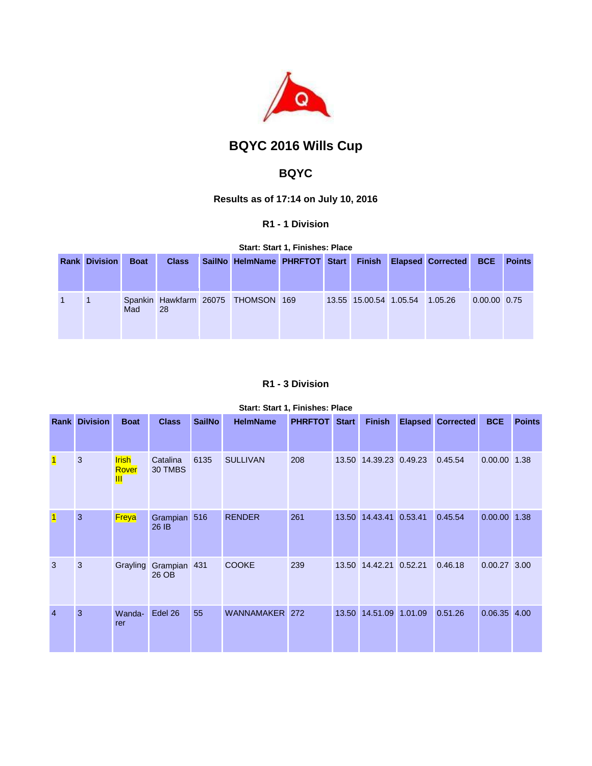

# **BQYC 2016 Wills Cup**

## **BQYC**

**Results as of 17:14 on July 10, 2016**

#### **R1 - 1 Division**

**Start: Start 1, Finishes: Place** 

| <b>Rank Division</b> | <b>Boat</b> | <b>Class</b> | SailNo HelmName PHRFTOT Start Finish Elapsed Corrected |  |                                |  | <b>BCE</b>     | <b>Points</b> |
|----------------------|-------------|--------------|--------------------------------------------------------|--|--------------------------------|--|----------------|---------------|
|                      | Mad         | <b>28</b>    | Spankin Hawkfarm 26075 THOMSON 169                     |  | 13.55 15.00.54 1.05.54 1.05.26 |  | $0.00.00$ 0.75 |               |

## **R1 - 3 Division**

## **Start: Start 1, Finishes: Place**

|                | <b>Rank Division</b> | <b>Boat</b>                | <b>Class</b>          | <b>SailNo</b> | <b>HelmName</b> | <b>PHRFTOT</b> | <b>Start</b> | <b>Finish</b>          |         | <b>Elapsed Corrected</b> | <b>BCE</b>     | <b>Points</b> |
|----------------|----------------------|----------------------------|-----------------------|---------------|-----------------|----------------|--------------|------------------------|---------|--------------------------|----------------|---------------|
| 1              | 3                    | <b>Irish</b><br>Rover<br>Ш | Catalina<br>30 TMBS   | 6135          | <b>SULLIVAN</b> | 208            |              | 13.50 14.39.23 0.49.23 |         | 0.45.54                  | 0.00.00 1.38   |               |
| $\vert$ 1      | 3                    | Freya                      | Grampian 516<br>26 IB |               | <b>RENDER</b>   | 261            | 13.50        | 14.43.41 0.53.41       |         | 0.45.54                  | $0.00.00$ 1.38 |               |
| 3              | 3                    | Grayling                   | Grampian 431<br>26 OB |               | <b>COOKE</b>    | 239            |              | 13.50 14.42.21 0.52.21 |         | 0.46.18                  | $0.00.27$ 3.00 |               |
| $\overline{4}$ | 3                    | Wanda-<br>rer              | Edel 26               | 55            | WANNAMAKER 272  |                | 13.50        | 14.51.09               | 1.01.09 | 0.51.26                  | $0.06.35$ 4.00 |               |